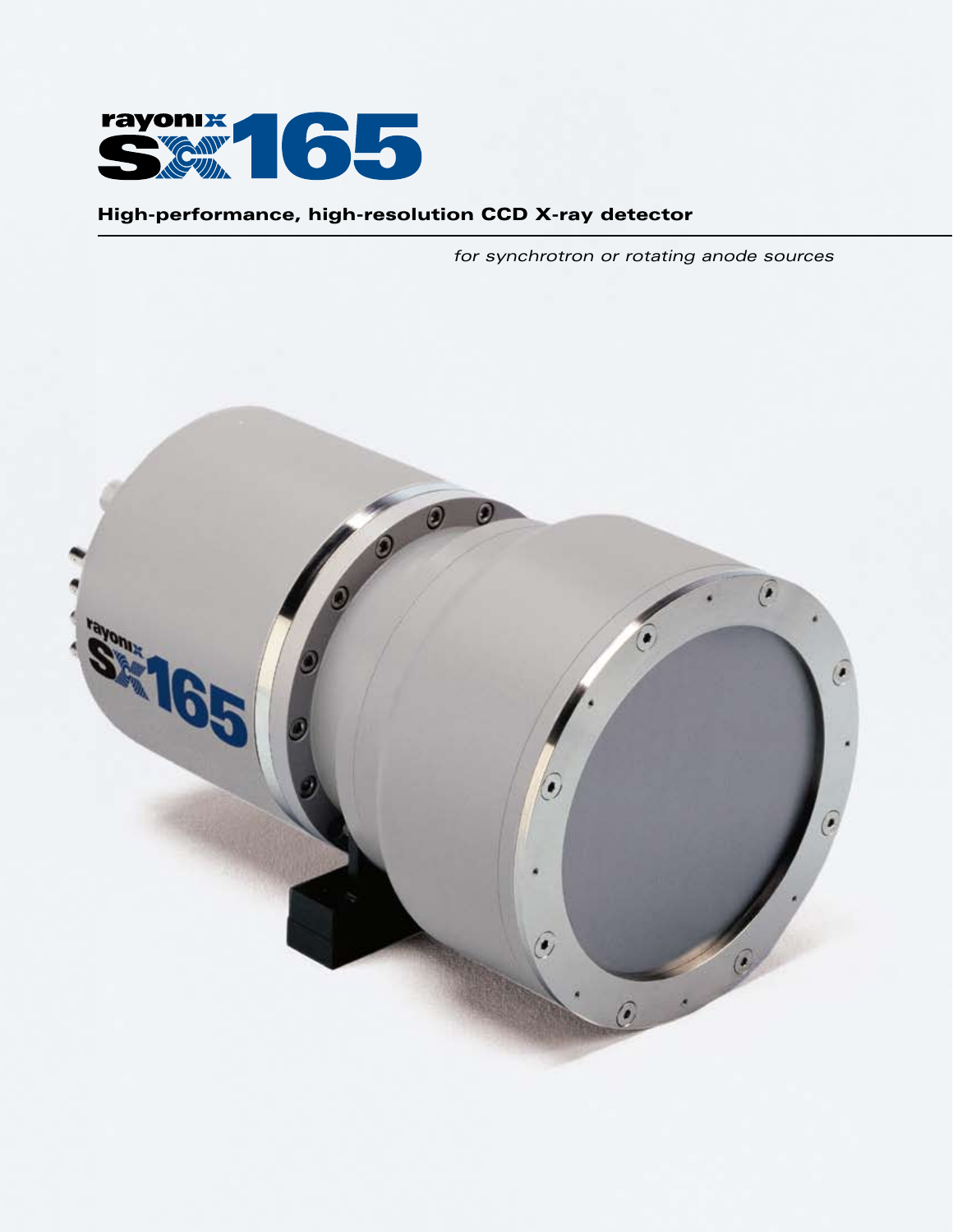

## High-performance, high-resolution CCD X-ray detector

*for synchrotron or rotating anode sources*